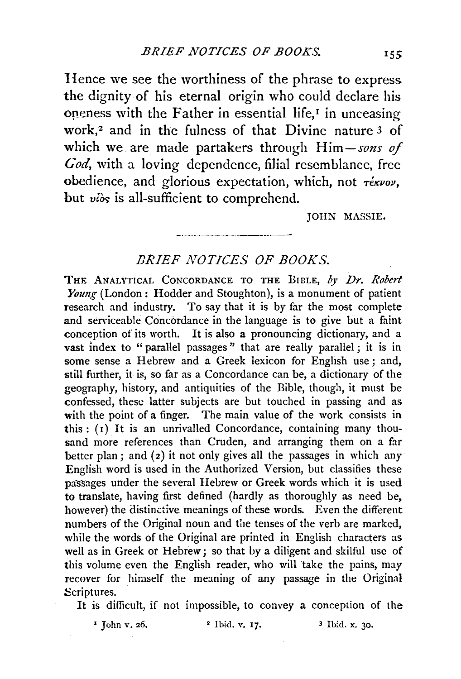Hence we see the worthiness of the phrase to express the dignity of his eternal origin who could declare his oneness with the Father in essential life, $I$  in unceasing work,2 and in the fulness of that Divine nature 3 of which we are made partakers through *Him-sons of God,* with a loving dependence, filial resemblance, free obedience, and glorious expectation, which, not  $\tau \epsilon k w \nu v$ , but  $v_i$ *i* $\delta$ s is all-sufficient to comprehend.

JOHN MASSIE.

## *BRIEF NOTICES OF BOOKS.*

THE ANALYTICAL CONCORDANCE TO THE BIBLE, by Dr. Robert *Young* (London: Hodder and Stoughton), is a monument of patient research and industry. To say that it is by far the most complete and serviceable Concordance in the language is to give but a faint conception of its worth. It is also a pronouncing dictionary, and a vast index to "parallel passages" that are really parallel; it is in some sense a Hebrew and a Greek lexicon for English use ; and, still further, it is, so far as a Concordance can be, a dictionary of the geography, history, and antiquities of the Bible, though, it must be confessed, these latter subjects are but touched in passing and as with the point of a finger. The main value of the work consists in this :  $(1)$  It is an unrivalled Concordance, containing many thousand more references than Cruden, and arranging them on a far better plan; and (2) it not only gives all the passages in which any English word is used in the Authorized Version, but classifies these passages under the several Hebrew or Greek words which it is used to translate, having first defined (hardly as thoroughly as need be, however) the distinctive meanings of these words. Even the different numbers of the Original noun and the tenses of the verb are marked, while the words of the Original are printed in English characters as well as in Greek or Hebrew; so that by a diligent and skilful use of this volume even the English reader, who will take the pains, may recover for himself the meaning of any passage in the Original Scriptures.

It is difficult, if not impossible, to convey a conception of the

 $\frac{1}{2}$  John v. 26.  $\frac{2}{1}$  Ibid. v. 17.  $\frac{3}{1}$  Ibid. x. 30.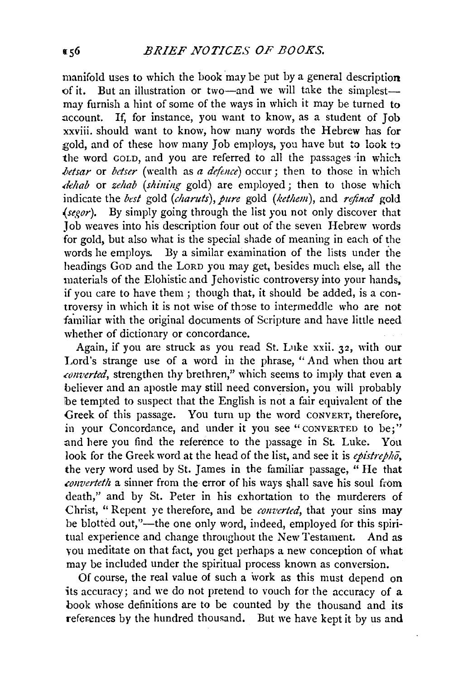manifold uses to which the book may be put by a general description of it. But an illustration or two-and we will take the simplestmay furnish a hint of some of the ways in which it may be turned to account. If, for instance, you want to know, as a student of Job xxviii. should want to know, how many words the Hebrew has for gold, and of these how many Job employs, you have but to look to the word GOLD, and you are referred to all the passages in which *.betsar* or *betser* (wealth as *a defence)* occur; then to those in which *.dehab* or *zehab (sltining* gold) are employed; then to those which indicate the *best* gold *(charuts)*, *pure* gold *(kethem)*, and *refined* gold *(segor).* By simply going through the list you not only discover that Job weaves into his description four out of the seven Hebrew words for gold, but also what is the special shade of meaning in each of the words he employs. By a similar examination of the lists under the headings GoD and the LORD you may get, besides much else, all the materials of the Elohistic and Jehovistic controversy into your hands, if you care to have them; though that, it should be added, is a controversy in which it is not wise of those to intermeddle who are not familiar with the original documents of Scripture and have little need whether of dictionary or concordance.

Again, if you are struck as you read St. Luke xxii. 32, with our Lord's strange use of a word in the phrase, "And when thou art *.converted,* strengthen thy brethren," which seems to imply that *even* a believer and an apostle may still need conversion, you will probably be tempted to suspect that the English is not a fair equivalent of the Greek of this passage. You turn up the word CONVERT, therefore, in your Concordance, and under it you see "CONVERTED to be;" and here you find the reference to the passage in St. Luke. Yon look for the Greek word at the head of the list, and see it is *epistrepho,*  the very word used by St. James in the familiar passage,  $\mathbf{u}$  He that *converteth* a sinner from the error of his ways shall save his soul from death," and by St. Peter in his exhortation to the murderers of Christ, "Repent ye therefore, and be *converted*, that your sins may be blotted out,"—the one only word, indeed, employed for this spiritual experience and change throughout the New Testament. And as vou meditate on that fact, you get perhaps a new conception of what may be included under the spiritual process known as conversion.

Of course, the real value of such a work as this must depend on its accuracy; and we do not pretend to vouch for the accuracy of a book whose definitions are to be counted by the thousand and its references by the hundred thousand. But we have kept it by us and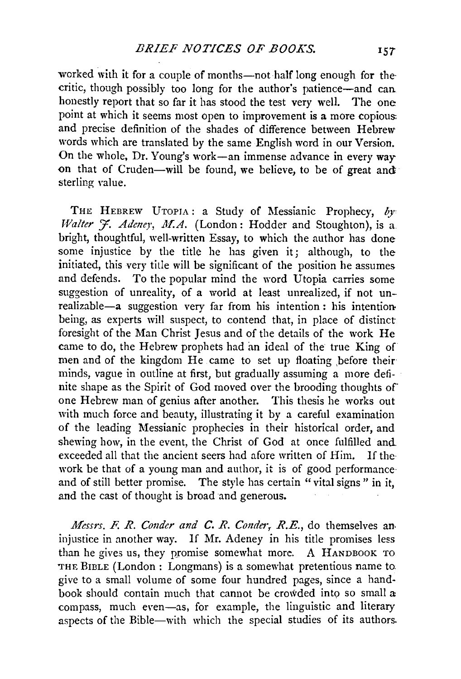worked with it for a couple of months-not half long enough for thecritic, though possibly too long for the author's patience-and can.. honestly report that so far it has stood the test very well. The one point at which it seems most open to improvement is a more copious: and precise definition of the shades of difference between Hebrew words which are translated by the same English word in our Version. On the whole, Dr. Young's work-an immense advance in every way on that of Cruden-will be found, we believe, to be of great and sterling value.

THE HEBREW UTOPIA: a Study of Messianic Prophecy,  $b_y$ Walter J. Adeney, M.A. (London: Hodder and Stoughton), is a bright, thoughtful, well-written Essay, to which the author has done some injustice by the title he has given it; although, to the initiated, this very title will be significant of the position he assumes and defends. To the popular mind the word Utopia carries some suggestion of unreality, of a world at least unrealized, if not unrealizable-a suggestion very far from his intention : his intentionbeing, as experts will suspect, to contend that, in place of distinct foresight of the Man Christ Jesus and of the details of the work He came to do, the Hebrew prophets had im ideal of the true King of men and of the kingdom He came to set up floating before their minds, vague in outline at first, but gradually assuming a more definite shape as the Spirit of God moved over the brooding thoughts of one Hebrew man of genius after another. This thesis he works out with much force and beauty, illustrating it by a careful examination of the leading Messianic prophecies in their historical order, and shewing how, in the event, the Christ of God at once fulfilled and exceeded all that the ancient seers had afore written of Him. If the· work be that of a young man and author, it is of good performance· and of still better promise. The style has certain "vital signs" in it, and the cast of thought is broad and generous.

*Messrs. F. R. Conder and C. R. Conder, R.E.*, do themselves an injustice in another way. If Mr. Adeney in his title promises less than he gives us, they promise somewhat more. A HANDBOOK TO THE BIBLE (London: Longmans) is a somewhat pretentious name to give to a small volume of some four hundred pages, since a hand· book should contain much that cannot be crowded into so small  $\alpha$ compass, much even-as, for example, the linguistic and literary aspects of the Bible-with which the special studies of its authors.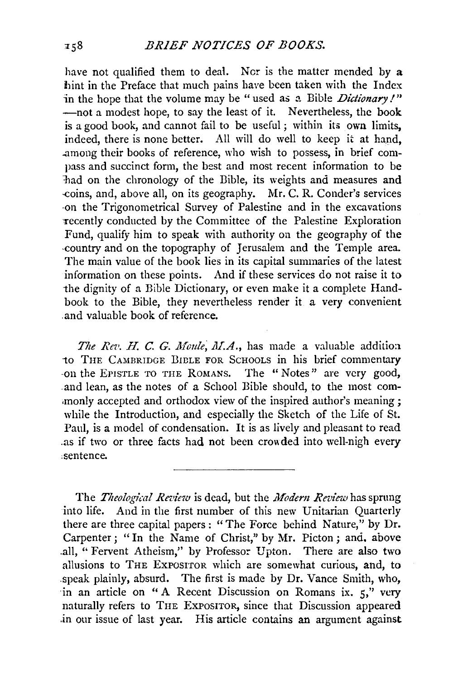## *BRIEF NOTICES OF BOOKS.*

have not qualified them to deal. Nor is the matter mended by a hint in the Preface that much pains have been taken with the Index in the hope that the volume may be "used as a Bible *Dictionary!*" -not a modest hope, to say the least of it. Nevertheless, the book is a good book, and cannot fail to be useful ; within its own limits, indeed, there is none better. All will do well to keep it at hand, .among their books of reference, who wish to possess, in brief compass and succinct form, the best and most recent information to be -had on the chronology of the Bible, its weights and measures and -coins, and, above all, on its geography. Mr. C. R. Conder's services ~on the Trigonometrical Survey of Palestine and in the excavations -recently conducted by the Committee of the Palestine Exploration Fund, qualify him to speak with authority on the geography of the -country and on the topography of Jerusalem and the Temple area. The main value of the book lies in *its* capital summaries of the latest information on these points. And if these services do not raise it to the dignity of a Bible Dictionary, or even make it a complete Handbook to the Bible, they nevertheless render it a very convenient .and valuable book of reference.

The Rev. H. C. G. Moule, M.A., has made a valuable addition to THE CAMBRIDGE BIBLE FOR SCHOOLS in his brief commentary -on the EPISTLE TO THE RoMANS. The " Notes" are very good, .and lean, as the notes of a School Bible should, to the most com- .monly accepted and orthodox view of the inspired author's meaning ; while the Introduction, and especially the Sketch of the Life of St. Paul, is a model of condensation. It is as lively and pleasant to read .as if two or three facts had not been crowded into well-nigh every sentence.

The *Theological Review* is dead, but the *Modern Review* has sprung into life. And in the first number of this new Unitarian Quarterly there are three capital papers: "The Force behind Nature," by Dr. Carpenter; "In the Name of Christ," by Mr. Picton; and, above .all, "Fervent Atheism," by Professor Upton. There are also two allusions to THE ExPOSITOR which are somewhat curious, and, to .speak plainly, absurd. The first is made by Dr. Vance Smith, who, in an article on "A Recent Discussion on Romans ix. 5," very naturally refers to THE ExPoSITOR, since that Discussion appeared *in* our issue of last year. His article contains an argument against

 $x - 8$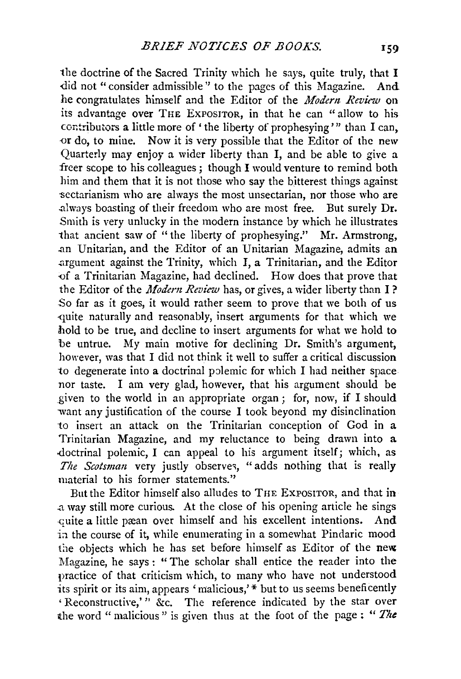the doctrine of the Sacred Trinity which he says, quite truly, that I did not "consider admissible" to the pages of this Magazine. And he congratulates himself and the Editor of the *Modern Review* on its advantage over THE ExPOSITOR, in that he can "allow to his contributors a little more of ' the liberty of prophesying'" than I can, or do, to mine. Now it is very possible that the Editor of the new Quarterly may enjoy a wider liberty than I, and be able to give a freer scope to his colleagues ; though I would venture to remind both him and them that it is not those who say the bitterest things against sectarianism who are always the most unsectarian, nor those who are .always boasting of their freedom who are most free. But surely Dr. Smith is very unlucky in the modern instance by which he illustrates that ancient saw of " the liberty of prophesying." Mr. Armstrong, .an Unitarian, and the Editor of an Unitarian Magazine, admits an .argument against the Trinity, which I, a Trinitarian, and the Editor {)f a Trinitarian Magazine, had declined. How does that prove that the Editor of the *Modern Review* has, or gives, a wider liberty than I? So far as it goes, it would rather seem to prove that we both of us -quite naturally and reasonably, insert arguments for that which we hold to be true, and decline to insert arguments for what we hold to be untrue. My main motive for declining Dr. Smith's argument, however, was that I did not think it well to suffer a critical discussion to degenerate into a doctrinal polemic for which I had neither space nor taste. I am very glad, however, that his argument should be given to the world in an appropriate organ; for, now, if I should want any justification of the course I took beyond my disinclination to insert an attack on the Trinitarian conception of God in a Trinitarian Magazine, and my reluctance to being drawn into a doctrinal polemic, I can appeal to his argument itself; which, as The Scotsman very justly observes, "adds nothing that is really material to his former statements.''

But the Editor himself also alludes to THE EXPOSITOR, and that in .a way still more curious. At the close of his opening article he sings quite a little prean over himself and his excellent intentions. And in the course of it, while enumerating in a somewhat Pindaric mood the objects which he has set before himself as Editor of the new Magazine, he says : "The scholar shall entice the reader into the practice of that criticism which, to many who have not understood its spirit or its aim, appears 'malicious,'\* but to us seems beneficently 'Reconstructive,'" &c. The reference indicated by the star over the word "malicious" is given thus at the foot of the page: "The